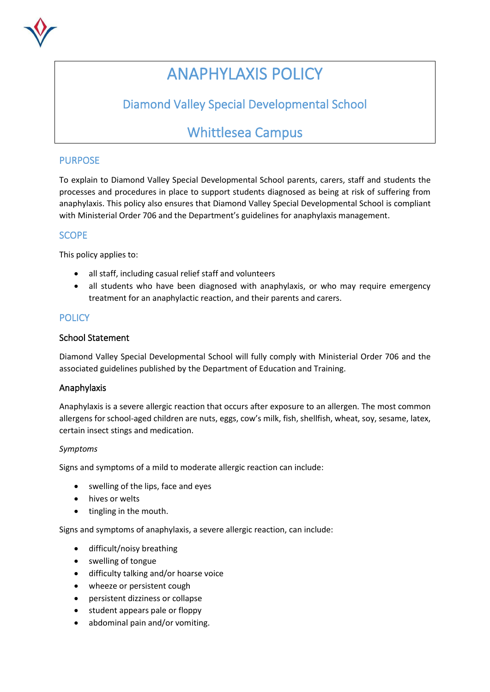

# ANAPHYLAXIS POLICY

# Diamond Valley Special Developmental School

# Whittlesea Campus

# PURPOSE

To explain to Diamond Valley Special Developmental School parents, carers, staff and students the processes and procedures in place to support students diagnosed as being at risk of suffering from anaphylaxis. This policy also ensures that Diamond Valley Special Developmental School is compliant with Ministerial Order 706 and the Department's guidelines for anaphylaxis management.

# **SCOPE**

This policy applies to:

- all staff, including casual relief staff and volunteers
- all students who have been diagnosed with anaphylaxis, or who may require emergency treatment for an anaphylactic reaction, and their parents and carers.

# **POLICY**

### School Statement

Diamond Valley Special Developmental School will fully comply with Ministerial Order 706 and the associated guidelines published by the Department of Education and Training.

#### Anaphylaxis

Anaphylaxis is a severe allergic reaction that occurs after exposure to an allergen. The most common allergens for school-aged children are nuts, eggs, cow's milk, fish, shellfish, wheat, soy, sesame, latex, certain insect stings and medication.

#### *Symptoms*

Signs and symptoms of a mild to moderate allergic reaction can include:

- swelling of the lips, face and eyes
- hives or welts
- tingling in the mouth.

Signs and symptoms of anaphylaxis, a severe allergic reaction, can include:

- difficult/noisy breathing
- swelling of tongue
- difficulty talking and/or hoarse voice
- wheeze or persistent cough
- persistent dizziness or collapse
- student appears pale or floppy
- abdominal pain and/or vomiting.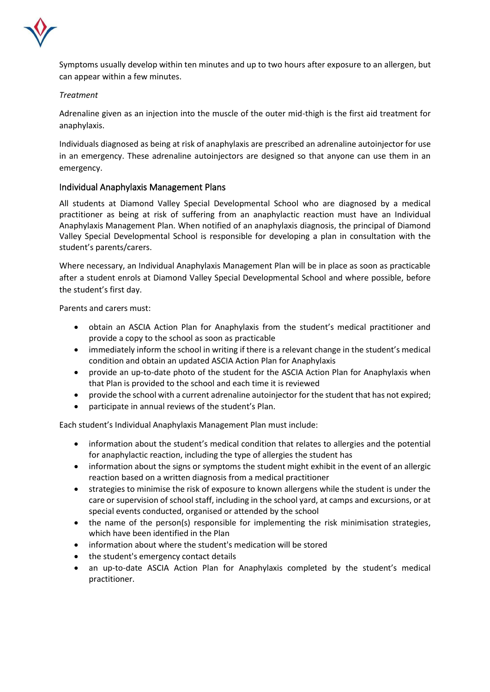

Symptoms usually develop within ten minutes and up to two hours after exposure to an allergen, but can appear within a few minutes.

#### *Treatment*

Adrenaline given as an injection into the muscle of the outer mid-thigh is the first aid treatment for anaphylaxis.

Individuals diagnosed as being at risk of anaphylaxis are prescribed an adrenaline autoinjector for use in an emergency. These adrenaline autoinjectors are designed so that anyone can use them in an emergency.

#### Individual Anaphylaxis Management Plans

All students at Diamond Valley Special Developmental School who are diagnosed by a medical practitioner as being at risk of suffering from an anaphylactic reaction must have an Individual Anaphylaxis Management Plan. When notified of an anaphylaxis diagnosis, the principal of Diamond Valley Special Developmental School is responsible for developing a plan in consultation with the student's parents/carers.

Where necessary, an Individual Anaphylaxis Management Plan will be in place as soon as practicable after a student enrols at Diamond Valley Special Developmental School and where possible, before the student's first day.

Parents and carers must:

- obtain an ASCIA Action Plan for Anaphylaxis from the student's medical practitioner and provide a copy to the school as soon as practicable
- immediately inform the school in writing if there is a relevant change in the student's medical condition and obtain an updated ASCIA Action Plan for Anaphylaxis
- provide an up-to-date photo of the student for the ASCIA Action Plan for Anaphylaxis when that Plan is provided to the school and each time it is reviewed
- provide the school with a current adrenaline autoinjector for the student that has not expired;
- participate in annual reviews of the student's Plan.

Each student's Individual Anaphylaxis Management Plan must include:

- information about the student's medical condition that relates to allergies and the potential for anaphylactic reaction, including the type of allergies the student has
- information about the signs or symptoms the student might exhibit in the event of an allergic reaction based on a written diagnosis from a medical practitioner
- strategies to minimise the risk of exposure to known allergens while the student is under the care or supervision of school staff, including in the school yard, at camps and excursions, or at special events conducted, organised or attended by the school
- the name of the person(s) responsible for implementing the risk minimisation strategies, which have been identified in the Plan
- information about where the student's medication will be stored
- the student's emergency contact details
- an up-to-date ASCIA Action Plan for Anaphylaxis completed by the student's medical practitioner.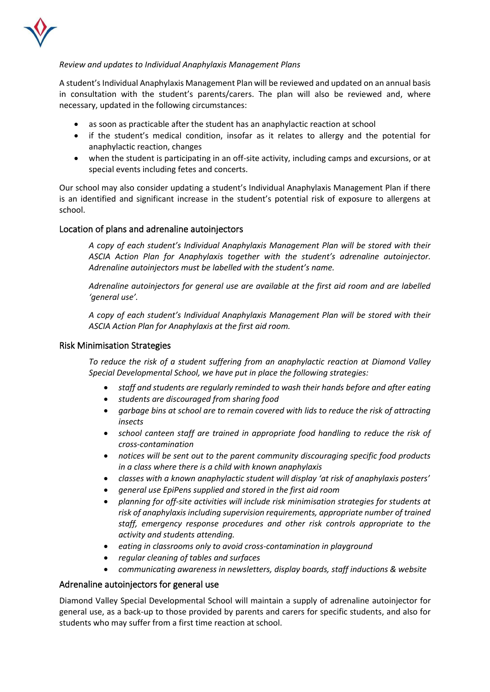

#### *Review and updates to Individual Anaphylaxis Management Plans*

A student's Individual Anaphylaxis Management Plan will be reviewed and updated on an annual basis in consultation with the student's parents/carers. The plan will also be reviewed and, where necessary, updated in the following circumstances:

- as soon as practicable after the student has an anaphylactic reaction at school
- if the student's medical condition, insofar as it relates to allergy and the potential for anaphylactic reaction, changes
- when the student is participating in an off-site activity, including camps and excursions, or at special events including fetes and concerts.

Our school may also consider updating a student's Individual Anaphylaxis Management Plan if there is an identified and significant increase in the student's potential risk of exposure to allergens at school.

#### Location of plans and adrenaline autoinjectors

*A copy of each student's Individual Anaphylaxis Management Plan will be stored with their ASCIA Action Plan for Anaphylaxis together with the student's adrenaline autoinjector. Adrenaline autoinjectors must be labelled with the student's name.*

*Adrenaline autoinjectors for general use are available at the first aid room and are labelled 'general use'.* 

*A copy of each student's Individual Anaphylaxis Management Plan will be stored with their ASCIA Action Plan for Anaphylaxis at the first aid room.* 

#### Risk Minimisation Strategies

*To reduce the risk of a student suffering from an anaphylactic reaction at Diamond Valley Special Developmental School, we have put in place the following strategies:*

- *staff and students are regularly reminded to wash their hands before and after eating*
- *students are discouraged from sharing food*
- *garbage bins at school are to remain covered with lids to reduce the risk of attracting insects*
- *school canteen staff are trained in appropriate food handling to reduce the risk of cross-contamination*
- *notices will be sent out to the parent community discouraging specific food products in a class where there is a child with known anaphylaxis*
- *classes with a known anaphylactic student will display 'at risk of anaphylaxis posters'*
- *general use EpiPens supplied and stored in the first aid room*
- *planning for off-site activities will include risk minimisation strategies for students at risk of anaphylaxis including supervision requirements, appropriate number of trained staff, emergency response procedures and other risk controls appropriate to the activity and students attending.*
- *eating in classrooms only to avoid cross-contamination in playground*
- *regular cleaning of tables and surfaces*
- *communicating awareness in newsletters, display boards, staff inductions & website*

#### Adrenaline autoinjectors for general use

Diamond Valley Special Developmental School will maintain a supply of adrenaline autoinjector for general use, as a back-up to those provided by parents and carers for specific students, and also for students who may suffer from a first time reaction at school.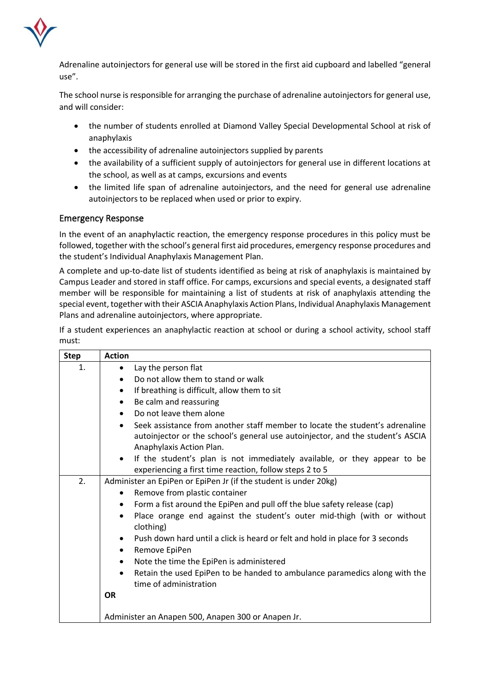

Adrenaline autoinjectors for general use will be stored in the first aid cupboard and labelled "general use".

The school nurse is responsible for arranging the purchase of adrenaline autoinjectors for general use, and will consider:

- the number of students enrolled at Diamond Valley Special Developmental School at risk of anaphylaxis
- the accessibility of adrenaline autoinjectors supplied by parents
- the availability of a sufficient supply of autoinjectors for general use in different locations at the school, as well as at camps, excursions and events
- the limited life span of adrenaline autoinjectors, and the need for general use adrenaline autoinjectors to be replaced when used or prior to expiry.

### Emergency Response

In the event of an anaphylactic reaction, the emergency response procedures in this policy must be followed, together with the school's general first aid procedures, emergency response procedures and the student's Individual Anaphylaxis Management Plan.

A complete and up-to-date list of students identified as being at risk of anaphylaxis is maintained by Campus Leader and stored in staff office. For camps, excursions and special events, a designated staff member will be responsible for maintaining a list of students at risk of anaphylaxis attending the special event, together with their ASCIA Anaphylaxis Action Plans, Individual Anaphylaxis Management Plans and adrenaline autoinjectors, where appropriate.

If a student experiences an anaphylactic reaction at school or during a school activity, school staff must:

| <b>Step</b> | <b>Action</b>                                                                              |
|-------------|--------------------------------------------------------------------------------------------|
| 1.          | Lay the person flat<br>$\bullet$                                                           |
|             | Do not allow them to stand or walk                                                         |
|             | If breathing is difficult, allow them to sit<br>$\bullet$                                  |
|             | Be calm and reassuring<br>$\bullet$                                                        |
|             | Do not leave them alone<br>$\bullet$                                                       |
|             | Seek assistance from another staff member to locate the student's adrenaline<br>$\bullet$  |
|             | autoinjector or the school's general use autoinjector, and the student's ASCIA             |
|             | Anaphylaxis Action Plan.                                                                   |
|             | If the student's plan is not immediately available, or they appear to be<br>$\bullet$      |
|             | experiencing a first time reaction, follow steps 2 to 5                                    |
| 2.          | Administer an EpiPen or EpiPen Jr (if the student is under 20kg)                           |
|             | Remove from plastic container<br>$\bullet$                                                 |
|             | Form a fist around the EpiPen and pull off the blue safety release (cap)<br>$\bullet$      |
|             | Place orange end against the student's outer mid-thigh (with or without<br>$\bullet$       |
|             | clothing)                                                                                  |
|             | Push down hard until a click is heard or felt and hold in place for 3 seconds<br>$\bullet$ |
|             | Remove EpiPen<br>$\bullet$                                                                 |
|             | Note the time the EpiPen is administered<br>$\bullet$                                      |
|             | Retain the used EpiPen to be handed to ambulance paramedics along with the<br>$\bullet$    |
|             | time of administration                                                                     |
|             | <b>OR</b>                                                                                  |
|             |                                                                                            |
|             | Administer an Anapen 500, Anapen 300 or Anapen Jr.                                         |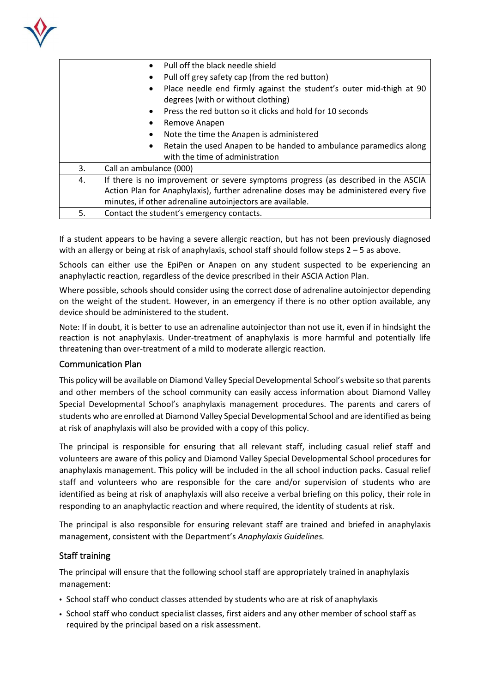

|    | Pull off the black needle shield                                                                          |
|----|-----------------------------------------------------------------------------------------------------------|
|    | Pull off grey safety cap (from the red button)                                                            |
|    | Place needle end firmly against the student's outer mid-thigh at 90<br>degrees (with or without clothing) |
|    | Press the red button so it clicks and hold for 10 seconds                                                 |
|    | Remove Anapen                                                                                             |
|    | Note the time the Anapen is administered                                                                  |
|    | Retain the used Anapen to be handed to ambulance paramedics along                                         |
|    | with the time of administration                                                                           |
| 3. | Call an ambulance (000)                                                                                   |
| 4. | If there is no improvement or severe symptoms progress (as described in the ASCIA                         |
|    | Action Plan for Anaphylaxis), further adrenaline doses may be administered every five                     |
|    | minutes, if other adrenaline autoinjectors are available.                                                 |
| 5. | Contact the student's emergency contacts.                                                                 |

If a student appears to be having a severe allergic reaction, but has not been previously diagnosed with an allergy or being at risk of anaphylaxis, school staff should follow steps 2 – 5 as above.

Schools can either use the EpiPen or Anapen on any student suspected to be experiencing an anaphylactic reaction, regardless of the device prescribed in their ASCIA Action Plan.

Where possible, schools should consider using the correct dose of adrenaline autoinjector depending on the weight of the student. However, in an emergency if there is no other option available, any device should be administered to the student.

Note: If in doubt, it is better to use an adrenaline autoinjector than not use it, even if in hindsight the reaction is not anaphylaxis. Under-treatment of anaphylaxis is more harmful and potentially life threatening than over-treatment of a mild to moderate allergic reaction.

#### Communication Plan

This policy will be available on Diamond Valley Special Developmental School's website so that parents and other members of the school community can easily access information about Diamond Valley Special Developmental School's anaphylaxis management procedures. The parents and carers of students who are enrolled at Diamond Valley Special Developmental School and are identified as being at risk of anaphylaxis will also be provided with a copy of this policy.

The principal is responsible for ensuring that all relevant staff, including casual relief staff and volunteers are aware of this policy and Diamond Valley Special Developmental School procedures for anaphylaxis management. This policy will be included in the all school induction packs. Casual relief staff and volunteers who are responsible for the care and/or supervision of students who are identified as being at risk of anaphylaxis will also receive a verbal briefing on this policy, their role in responding to an anaphylactic reaction and where required, the identity of students at risk.

The principal is also responsible for ensuring relevant staff are trained and briefed in anaphylaxis management, consistent with the Department's *Anaphylaxis Guidelines.*

#### Staff training

The principal will ensure that the following school staff are appropriately trained in anaphylaxis management:

- School staff who conduct classes attended by students who are at risk of anaphylaxis
- School staff who conduct specialist classes, first aiders and any other member of school staff as required by the principal based on a risk assessment.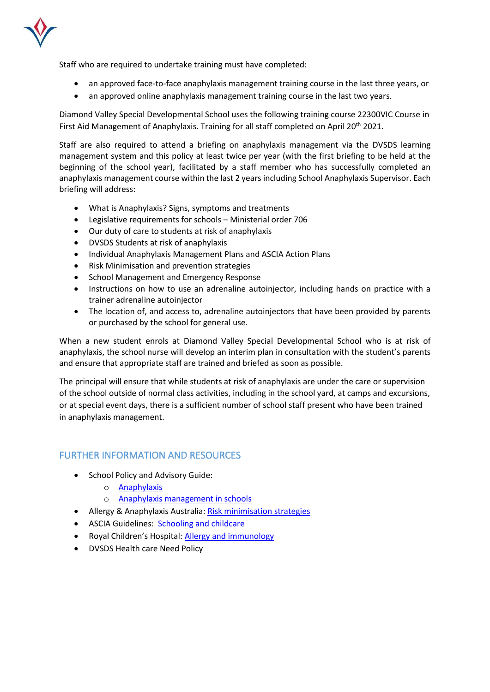

Staff who are required to undertake training must have completed:

- an approved face-to-face anaphylaxis management training course in the last three years, or
- an approved online anaphylaxis management training course in the last two years.

Diamond Valley Special Developmental School uses the following training course 22300VIC Course in First Aid Management of Anaphylaxis. Training for all staff completed on April 20<sup>th</sup> 2021.

Staff are also required to attend a briefing on anaphylaxis management via the DVSDS learning management system and this policy at least twice per year (with the first briefing to be held at the beginning of the school year), facilitated by a staff member who has successfully completed an anaphylaxis management course within the last 2 years including School Anaphylaxis Supervisor. Each briefing will address:

- What is Anaphylaxis? Signs, symptoms and treatments
- Legislative requirements for schools Ministerial order 706
- Our duty of care to students at risk of anaphylaxis
- DVSDS Students at risk of anaphylaxis
- Individual Anaphylaxis Management Plans and ASCIA Action Plans
- Risk Minimisation and prevention strategies
- School Management and Emergency Response
- Instructions on how to use an adrenaline autoinjector, including hands on practice with a trainer adrenaline autoinjector
- The location of, and access to, adrenaline autoinjectors that have been provided by parents or purchased by the school for general use.

When a new student enrols at Diamond Valley Special Developmental School who is at risk of anaphylaxis, the school nurse will develop an interim plan in consultation with the student's parents and ensure that appropriate staff are trained and briefed as soon as possible.

The principal will ensure that while students at risk of anaphylaxis are under the care or supervision of the school outside of normal class activities, including in the school yard, at camps and excursions, or at special event days, there is a sufficient number of school staff present who have been trained in anaphylaxis management.

## FURTHER INFORMATION AND RESOURCES

- School Policy and Advisory Guide:
	- o [Anaphylaxis](http://www.education.vic.gov.au/school/principals/spag/health/Pages/anaphylaxis.aspx)
	- o [Anaphylaxis management in schools](http://www.education.vic.gov.au/school/teachers/health/pages/anaphylaxisschl.aspx)
- Allergy & Anaphylaxis Australia: [Risk minimisation strategies](https://edugate.eduweb.vic.gov.au/edulibrary/Schools/teachers/health/riskminimisation.pdf)
- ASCIA Guidelines: **[Schooling and childcare](https://allergyfacts.org.au/allergy-management/schooling-childcare)**
- Royal Children's Hospital: [Allergy and immunology](https://www.rch.org.au/allergy/about_us/Allergy_and_Immunology/)
- DVSDS Health care Need Policy